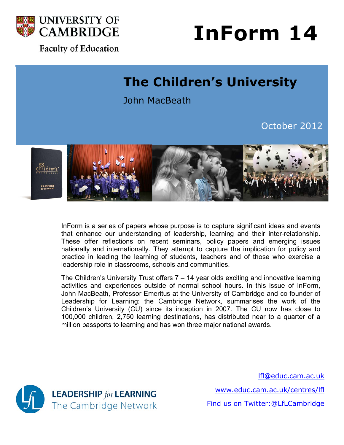

### **Faculty of Education**

# **InForm 14**

## **The Children's University**

John MacBeath

October 2012



InForm is a series of papers whose purpose is to capture significant ideas and events that enhance our understanding of leadership, learning and their inter-relationship. These offer reflections on recent seminars, policy papers and emerging issues nationally and internationally. They attempt to capture the implication for policy and practice in leading the learning of students, teachers and of those who exercise a leadership role in classrooms, schools and communities.

The Children's University Trust offers 7 – 14 year olds exciting and innovative learning activities and experiences outside of normal school hours. In this issue of InForm, John MacBeath, Professor Emeritus at the University of Cambridge and co founder of Leadership for Learning: the Cambridge Network, summarises the work of the Children's University (CU) since its inception in 2007. The CU now has close to 100,000 children, 2,750 learning destinations, has distributed near to a quarter of a million passports to learning and has won three major national awards.



lfl@educ.cam.ac.uk www.educ.cam.ac.uk/centres/lfl Find us on Twitter:@LfLCambridge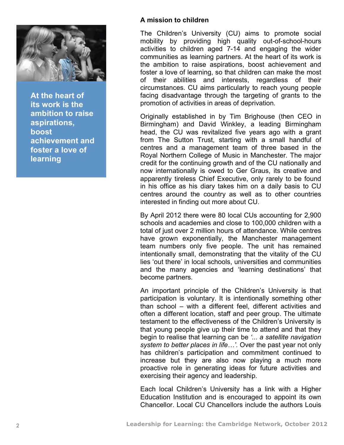

**At the heart of its work is the ambition to raise aspirations, boost achievement and foster a love of learning**

#### **A mission to children**

The Children's University (CU) aims to promote social mobility by providing high quality out-of-school-hours activities to children aged 7-14 and engaging the wider communities as learning partners. At the heart of its work is the ambition to raise aspirations, boost achievement and foster a love of learning, so that children can make the most of their abilities and interests, regardless of their circumstances. CU aims particularly to reach young people facing disadvantage through the targeting of grants to the promotion of activities in areas of deprivation.

Originally established in by Tim Brighouse (then CEO in Birmingham) and David Winkley, a leading Birmingham head, the CU was revitalized five years ago with a grant from The Sutton Trust, starting with a small handful of centres and a management team of three based in the Royal Northern College of Music in Manchester. The major credit for the continuing growth and of the CU nationally and now internationally is owed to Ger Graus, its creative and apparently tireless Chief Executive, only rarely to be found in his office as his diary takes him on a daily basis to CU centres around the country as well as to other countries interested in finding out more about CU.

By April 2012 there were 80 local CUs accounting for 2,900 schools and academies and close to 100,000 children with a total of just over 2 million hours of attendance. While centres have grown exponentially, the Manchester management team numbers only five people. The unit has remained intentionally small, demonstrating that the vitality of the CU lies 'out there' in local schools, universities and communities and the many agencies and 'learning destinations' that become partners.

An important principle of the Children's University is that participation is voluntary. It is intentionally something other than school – with a different feel, different activities and often a different location, staff and peer group. The ultimate testament to the effectiveness of the Children's University is that young people give up their time to attend and that they begin to realise that learning can be *'... a satellite navigation system to better places in life…'*. Over the past year not only has children's participation and commitment continued to increase but they are also now playing a much more proactive role in generating ideas for future activities and exercising their agency and leadership.

Each local Children's University has a link with a Higher Education Institution and is encouraged to appoint its own Chancellor. Local CU Chancellors include the authors Louis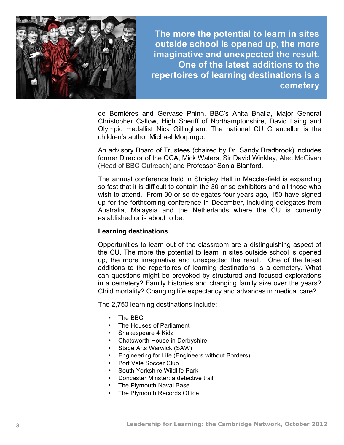

**The more the potential to learn in sites outside school is opened up, the more imaginative and unexpected the result. One of the latest additions to the repertoires of learning destinations is a cemetery**

de Bernières and Gervase Phinn, BBC's Anita Bhalla, Major General Christopher Callow, High Sheriff of Northamptonshire, David Laing and Olympic medallist Nick Gillingham. The national CU Chancellor is the children's author Michael Morpurgo.

An advisory Board of Trustees (chaired by Dr. Sandy Bradbrook) includes former Director of the QCA, Mick Waters, Sir David Winkley, Alec McGivan (Head of BBC Outreach) and Professor Sonia Blanford.

The annual conference held in Shrigley Hall in Macclesfield is expanding so fast that it is difficult to contain the 30 or so exhibitors and all those who wish to attend. From 30 or so delegates four years ago, 150 have signed up for the forthcoming conference in December, including delegates from Australia, Malaysia and the Netherlands where the CU is currently established or is about to be.

#### **Learning destinations**

Opportunities to learn out of the classroom are a distinguishing aspect of the CU. The more the potential to learn in sites outside school is opened up, the more imaginative and unexpected the result. One of the latest additions to the repertoires of learning destinations is a cemetery. What can questions might be provoked by structured and focused explorations in a cemetery? Family histories and changing family size over the years? Child mortality? Changing life expectancy and advances in medical care?

The 2,750 learning destinations include:

- The BBC
- The Houses of Parliament
- Shakespeare 4 Kidz
- Chatsworth House in Derbyshire
- Stage Arts Warwick (SAW)
- Engineering for Life (Engineers without Borders)
- Port Vale Soccer Club
- South Yorkshire Wildlife Park
- Doncaster Minster: a detective trail
- The Plymouth Naval Base
- The Plymouth Records Office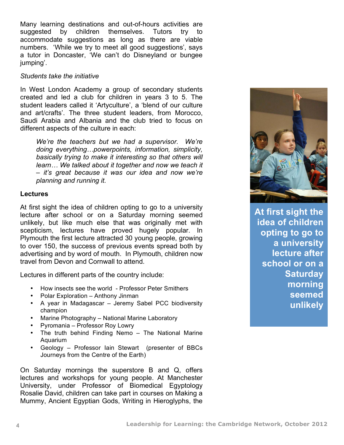Many learning destinations and out-of-hours activities are suggested by children themselves. Tutors try to accommodate suggestions as long as there are viable numbers. 'While we try to meet all good suggestions', says a tutor in Doncaster, 'We can't do Disneyland or bungee jumping'.

#### *Students take the initiative*

In West London Academy a group of secondary students created and led a club for children in years 3 to 5. The student leaders called it 'Artyculture', a 'blend of our culture and art/crafts'. The three student leaders, from Morocco, Saudi Arabia and Albania and the club tried to focus on different aspects of the culture in each:

*We're the teachers but we had a supervisor. We're doing everything…powerpoints, information, simplicity, basically trying to make it interesting so that others will learn… We talked about it together and now we teach it – it's great because it was our idea and now we're planning and running it.* 

#### **Lectures**

At first sight the idea of children opting to go to a university lecture after school or on a Saturday morning seemed unlikely, but like much else that was originally met with scepticism, lectures have proved hugely popular. In Plymouth the first lecture attracted 30 young people, growing to over 150, the success of previous events spread both by advertising and by word of mouth. In Plymouth, children now travel from Devon and Cornwall to attend.

Lectures in different parts of the country include:

- How insects see the world Professor Peter Smithers
- Polar Exploration Anthony Jinman
- A year in Madagascar Jeremy Sabel PCC biodiversity champion
- Marine Photography National Marine Laboratory
- Pyromania Professor Roy Lowry
- The truth behind Finding Nemo The National Marine Aquarium
- Geology Professor Iain Stewart (presenter of BBCs Journeys from the Centre of the Earth)

On Saturday mornings the superstore B and Q, offers lectures and workshops for young people. At Manchester University, under Professor of Biomedical Egyptology Rosalie David, children can take part in courses on Making a Mummy, Ancient Egyptian Gods, Writing in Hieroglyphs, the



**At first sight the idea of children opting to go to a university lecture after school or on a Saturday morning seemed unlikely**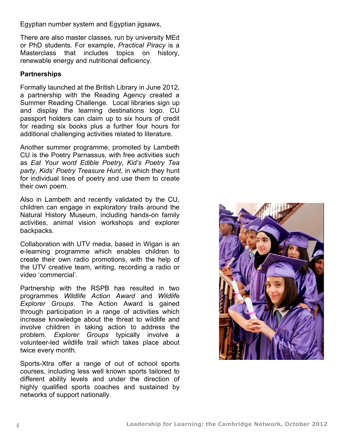Egyptian number system and Egyptian jigsaws,

There are also master classes, run by university MEd or PhD students. For example, *Practical Piracy* is a Masterclass that includes topics on history, renewable energy and nutritional deficiency.

#### **Partnerships**

Formally launched at the British Library in June 2012, a partnership with the Reading Agency created a Summer Reading Challenge. Local libraries sign up and display the learning destinations logo. CU passport holders can claim up to six hours of credit for reading six books plus a further four hours for additional challenging activities related to literature.

Another summer programme, promoted by Lambeth CU is the Poetry Parnassus, with free activities such as *Eat Your word Edible Poetry*, *Kid's Poetry Tea party*, *Kids' Poetry Treasure Hunt*, in which they hunt for individual lines of poetry and use them to create their own poem.

Also in Lambeth and recently validated by the CU, children can engage in exploratory trails around the Natural History Museum, including hands-on family activities, animal vision workshops and explorer backpacks.

Collaboration with UTV media, based in Wigan is an e-learning programme which enables children to create their own radio promotions, with the help of the UTV creative team, writing, recording a radio or video 'commercial'.

Partnership with the RSPB has resulted in two programmes *Wildlife Action Award* and *Wildlife Explorer Groups*. The Action Award is gained through participation in a range of activities which increase knowledge about the threat to wildlife and involve children in taking action to address the problem. *Explorer Groups* typically involve a volunteer-led wildlife trail which takes place about twice every month.

Sports-Xtra offer a range of out of school sports courses, including less well known sports tailored to different ability levels and under the direction of highly qualified sports coaches and sustained by networks of support nationally.

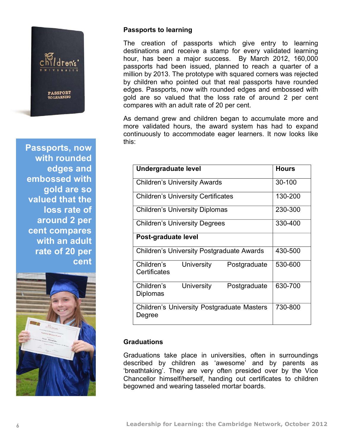

**Passports, now with rounded edges and embossed with gold are so valued that the loss rate of around 2 per cent compares with an adult rate of 20 per cent**



#### **Passports to learning**

The creation of passports which give entry to learning destinations and receive a stamp for every validated learning hour, has been a major success. By March 2012, 160,000 passports had been issued, planned to reach a quarter of a million by 2013. The prototype with squared corners was rejected by children who pointed out that real passports have rounded edges. Passports, now with rounded edges and embossed with gold are so valued that the loss rate of around 2 per cent compares with an adult rate of 20 per cent.

As demand grew and children began to accumulate more and more validated hours, the award system has had to expand continuously to accommodate eager learners. It now looks like this:

| Undergraduate level                                         | <b>Hours</b> |
|-------------------------------------------------------------|--------------|
| <b>Children's University Awards</b>                         | 30-100       |
| <b>Children's University Certificates</b>                   | 130-200      |
| <b>Children's University Diplomas</b>                       | 230-300      |
| <b>Children's University Degrees</b>                        | 330-400      |
| Post-graduate level                                         |              |
| <b>Children's University Postgraduate Awards</b>            | 430-500      |
| Children's<br>University<br>Postgraduate<br>Certificates    | 530-600      |
| Children's<br>University<br>Postgraduate<br>Diplomas        | 630-700      |
| <b>Children's University Postgraduate Masters</b><br>Degree | 730-800      |

#### **Graduations**

Graduations take place in universities, often in surroundings described by children as 'awesome' and by parents as 'breathtaking'. They are very often presided over by the Vice Chancellor himself/herself, handing out certificates to children begowned and wearing tasseled mortar boards.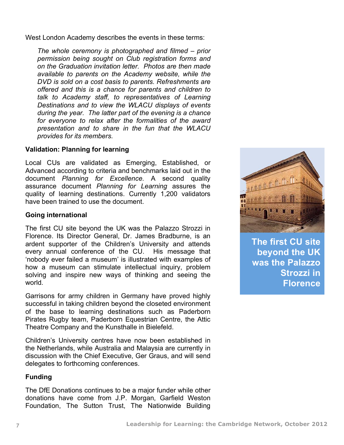West London Academy describes the events in these terms:

*The whole ceremony is photographed and filmed – prior permission being sought on Club registration forms and on the Graduation invitation letter. Photos are then made available to parents on the Academy website, while the DVD is sold on a cost basis to parents. Refreshments are offered and this is a chance for parents and children to talk to Academy staff, to representatives of Learning Destinations and to view the WLACU displays of events during the year. The latter part of the evening is a chance for everyone to relax after the formalities of the award presentation and to share in the fun that the WLACU provides for its members.* 

#### **Validation: Planning for learning**

Local CUs are validated as Emerging, Established, or Advanced according to criteria and benchmarks laid out in the document *Planning for Excellence.* A second quality assurance document *Planning for Learning* assures the quality of learning destinations. Currently 1,200 validators have been trained to use the document.

#### **Going international**

The first CU site beyond the UK was the Palazzo Strozzi in Florence. Its Director General, Dr. James Bradburne, is an ardent supporter of the Children's University and attends every annual conference of the CU. His message that 'nobody ever failed a museum' is illustrated with examples of how a museum can stimulate intellectual inquiry, problem solving and inspire new ways of thinking and seeing the world.

Garrisons for army children in Germany have proved highly successful in taking children beyond the closeted environment of the base to learning destinations such as Paderborn Pirates Rugby team, Paderborn Equestrian Centre, the Attic Theatre Company and the Kunsthalle in Bielefeld.

Children's University centres have now been established in the Netherlands, while Australia and Malaysia are currently in discussion with the Chief Executive, Ger Graus, and will send delegates to forthcoming conferences.

#### **Funding**

The DfE Donations continues to be a major funder while other donations have come from J.P. Morgan, Garfield Weston Foundation, The Sutton Trust, The Nationwide Building



**The first CU site beyond the UK was the Palazzo Strozzi in Florence**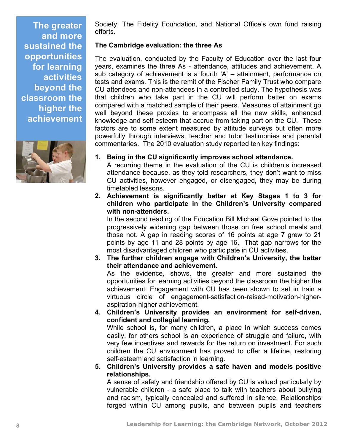**The greater and more sustained the opportunities for learning activities beyond the classroom the higher the achievement**



Society, The Fidelity Foundation, and National Office's own fund raising efforts.

#### **The Cambridge evaluation: the three As**

The evaluation, conducted by the Faculty of Education over the last four years, examines the three As - attendance, attitudes and achievement. A sub category of achievement is a fourth 'A' – attainment, performance on tests and exams. This is the remit of the Fischer Family Trust who compare CU attendees and non-attendees in a controlled study. The hypothesis was that children who take part in the CU will perform better on exams compared with a matched sample of their peers. Measures of attainment go well beyond these proxies to encompass all the new skills, enhanced knowledge and self esteem that accrue from taking part on the CU. These factors are to some extent measured by attitude surveys but often more powerfully through interviews, teacher and tutor testimonies and parental commentaries. The 2010 evaluation study reported ten key findings:

**1. Being in the CU significantly improves school attendance.**

A recurring theme in the evaluation of the CU is children's increased attendance because, as they told researchers, they don't want to miss CU activities, however engaged, or disengaged, they may be during timetabled lessons.

**2. Achievement is significantly better at Key Stages 1 to 3 for children who participate in the Children's University compared with non-attenders.**

In the second reading of the Education Bill Michael Gove pointed to the progressively widening gap between those on free school meals and those not. A gap in reading scores of 16 points at age 7 grew to 21 points by age 11 and 28 points by age 16. That gap narrows for the most disadvantaged children who participate in CU activities.

**3. The further children engage with Children's University, the better their attendance and achievement.** As the evidence, shows, the greater and more sustained the opportunities for learning activities beyond the classroom the higher the

achievement. Engagement with CU has been shown to set in train a virtuous circle of engagement-satisfaction-raised-motivation-higheraspiration-higher achievement.

**4. Children's University provides an environment for self-driven, confident and collegial learning.** While school is, for many children, a place in which success comes

easily, for others school is an experience of struggle and failure, with very few incentives and rewards for the return on investment. For such children the CU environment has proved to offer a lifeline, restoring self-esteem and satisfaction in learning.

**5. Children's University provides a safe haven and models positive relationships.**

A sense of safety and friendship offered by CU is valued particularly by vulnerable children - a safe place to talk with teachers about bullying and racism, typically concealed and suffered in silence. Relationships forged within CU among pupils, and between pupils and teachers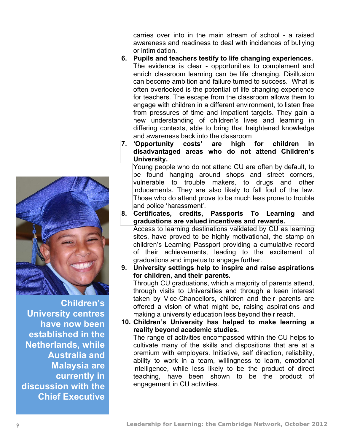carries over into in the main stream of school - a raised awareness and readiness to deal with incidences of bullying or intimidation.

- **6. Pupils and teachers testify to life changing experiences.** The evidence is clear - opportunities to complement and enrich classroom learning can be life changing. Disillusion can become ambition and failure turned to success. What is often overlooked is the potential of life changing experience for teachers. The escape from the classroom allows them to engage with children in a different environment, to listen free from pressures of time and impatient targets. They gain a new understanding of children's lives and learning in differing contexts, able to bring that heightened knowledge and awareness back into the classroom
- **7. 'Opportunity costs' are high for children in disadvantaged areas who do not attend Children's University.**

Young people who do not attend CU are often by default, to be found hanging around shops and street corners, vulnerable to trouble makers, to drugs and other inducements. They are also likely to fall foul of the law. Those who do attend prove to be much less prone to trouble and police 'harassment'.

- **8. Certificates, credits, Passports To Learning and graduations are valued incentives and rewards.** Access to learning destinations validated by CU as learning sites, have proved to be highly motivational, the stamp on children's Learning Passport providing a cumulative record of their achievements, leading to the excitement of graduations and impetus to engage further.
- **9. University settings help to inspire and raise aspirations for children, and their parents.** Through CU graduations, which a majority of parents attend,

through visits to Universities and through a keen interest taken by Vice-Chancellors, children and their parents are offered a vision of what might be, raising aspirations and making a university education less beyond their reach.

**10. Children's University has helped to make learning a reality beyond academic studies.**

The range of activities encompassed within the CU helps to cultivate many of the skills and dispositions that are at a premium with employers. Initiative, self direction, reliability, ability to work in a team, willingness to learn, emotional intelligence, while less likely to be the product of direct teaching, have been shown to be the product of engagement in CU activities.



**Children's University centres have now been established in the Netherlands, while Australia and Malaysia are currently in discussion with the Chief Executive**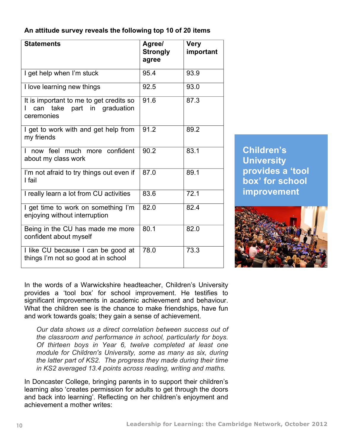**An attitude survey reveals the following top 10 of 20 items**

| <b>Statements</b>                                                                    | Agree/<br><b>Strongly</b><br>agree | <b>Very</b><br>important |
|--------------------------------------------------------------------------------------|------------------------------------|--------------------------|
| I get help when I'm stuck                                                            | 95.4                               | 93.9                     |
| I love learning new things                                                           | 92.5                               | 93.0                     |
| It is important to me to get credits so<br>can take part in graduation<br>ceremonies | 91.6                               | 87.3                     |
| I get to work with and get help from<br>my friends                                   | 91.2                               | 89.2                     |
| now feel much more confident<br>about my class work                                  | 90.2                               | 83.1                     |
| I'm not afraid to try things out even if<br>I fail                                   | 87.0                               | 89.1                     |
| I really learn a lot from CU activities                                              | 83.6                               | 72.1                     |
| I get time to work on something I'm<br>enjoying without interruption                 | 82.0                               | 82.4                     |
| Being in the CU has made me more<br>confident about myself                           | 80.1                               | 82.0                     |
| I like CU because I can be good at<br>things I'm not so good at in school            | 78.0                               | 73.3                     |

**Children's University provides a 'tool box' for school improvement**



In the words of a Warwickshire headteacher, Children's University provides a 'tool box' for school improvement. He testifies to significant improvements in academic achievement and behaviour. What the children see is the chance to make friendships, have fun and work towards goals; they gain a sense of achievement.

*Our data shows us a direct correlation between success out of the classroom and performance in school, particularly for boys. Of thirteen boys in Year 6, twelve completed at least one module for Children's University, some as many as six, during the latter part of KS2. The progress they made during their time in KS2 averaged 13.4 points across reading, writing and maths.*

In Doncaster College, bringing parents in to support their children's learning also 'creates permission for adults to get through the doors and back into learning'. Reflecting on her children's enjoyment and achievement a mother writes: